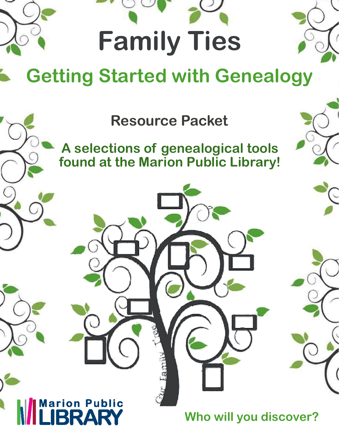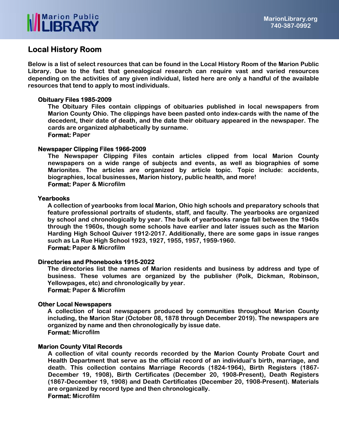

## **Local History Room**

**Below is a list of select resources that can be found in the Local History Room of the Marion Public Library. Due to the fact that genealogical research can require vast and varied resources depending on the activities of any given individual, listed here are only a handful of the available resources that tend to apply to most individuals.** 

### **Obituary Files 1985-2009**

**The Obituary Files contain clippings of obituaries published in local newspapers from Marion County Ohio. The clippings have been pasted onto index-cards with the name of the decedent, their date of death, and the date their obituary appeared in the newspaper. The cards are organized alphabetically by surname. Format: Paper** 

### **Newspaper Clipping Files 1966-2009**

**The Newspaper Clipping Files contain articles clipped from local Marion County newspapers on a wide range of subjects and events, as well as biographies of some Marionites. The articles are organized by article topic. Topic include: accidents, biographies, local businesses, Marion history, public health, and more! Format: Paper & Microfilm** 

### **Yearbooks**

**A collection of yearbooks from local Marion, Ohio high schools and preparatory schools that feature professional portraits of students, staff, and faculty. The yearbooks are organized by school and chronologically by year. The bulk of yearbooks range fall between the 1940s through the 1960s, though some schools have earlier and later issues such as the Marion Harding High School Quiver 1912-2017. Additionally, there are some gaps in issue ranges such as La Rue High School 1923, 1927, 1955, 1957, 1959-1960. Format: Paper & Microfilm** 

## **Directories and Phonebooks 1915-2022**

**The directories list the names of Marion residents and business by address and type of business. These volumes are organized by the publisher (Polk, Dickman, Robinson, Yellowpages, etc) and chronologically by year. Format: Paper & Microfilm** 

### **Other Local Newspapers**

**A collection of local newspapers produced by communities throughout Marion County including, the Marion Star (October 08, 1878 through December 2019). The newspapers are organized by name and then chronologically by issue date. Format: Microfilm** 

### **Marion County Vital Records**

**A collection of vital county records recorded by the Marion County Probate Court and Health Department that serve as the official record of an individual's birth, marriage, and death. This collection contains Marriage Records (1824-1964), Birth Registers (1867- December 19, 1908), Birth Certificates (December 20, 1908-Present), Death Registers (1867-December 19, 1908) and Death Certificates (December 20, 1908-Present). Materials are organized by record type and then chronologically. Format: Microfilm**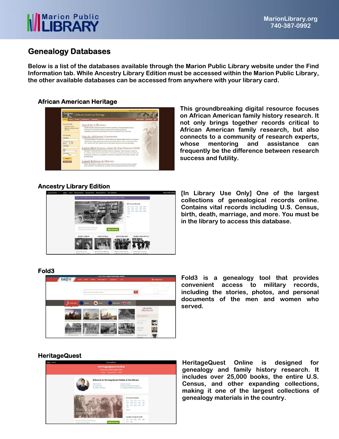# **Marion Public**<br>**II IRRARY**

# **Genealogy Databases**

**Below is a list of the databases available through the Marion Public Library website under the Find Information tab. While Ancestry Library Edition must be accessed within the Marion Public Library, the other available databases can be accessed from anywhere with your library card.** 

## **African American Heritage**



**This groundbreaking digital resource focuses on African American family history research. It not only brings together records critical to African American family research, but also connects to a community of research experts, whose mentoring and assistance can frequently be the difference between research success and futility.** 

## **Ancestry Library Edition**



**[In Library Use Only] One of the largest collections of genealogical records online. Contains vital records including U.S. Census, birth, death, marriage, and more. You must be in the library to access this database.** 

## **Fold3**



**Fold3 is a genealogy tool that provides convenient access to military records, including the stories, photos, and personal documents of the men and women who served.** 

## **HeritageQuest**



**HeritageQuest Online is designed for genealogy and family history research. It includes over 25,000 books, the entire U.S. Census, and other expanding collections, making it one of the largest collections of genealogy materials in the country.**